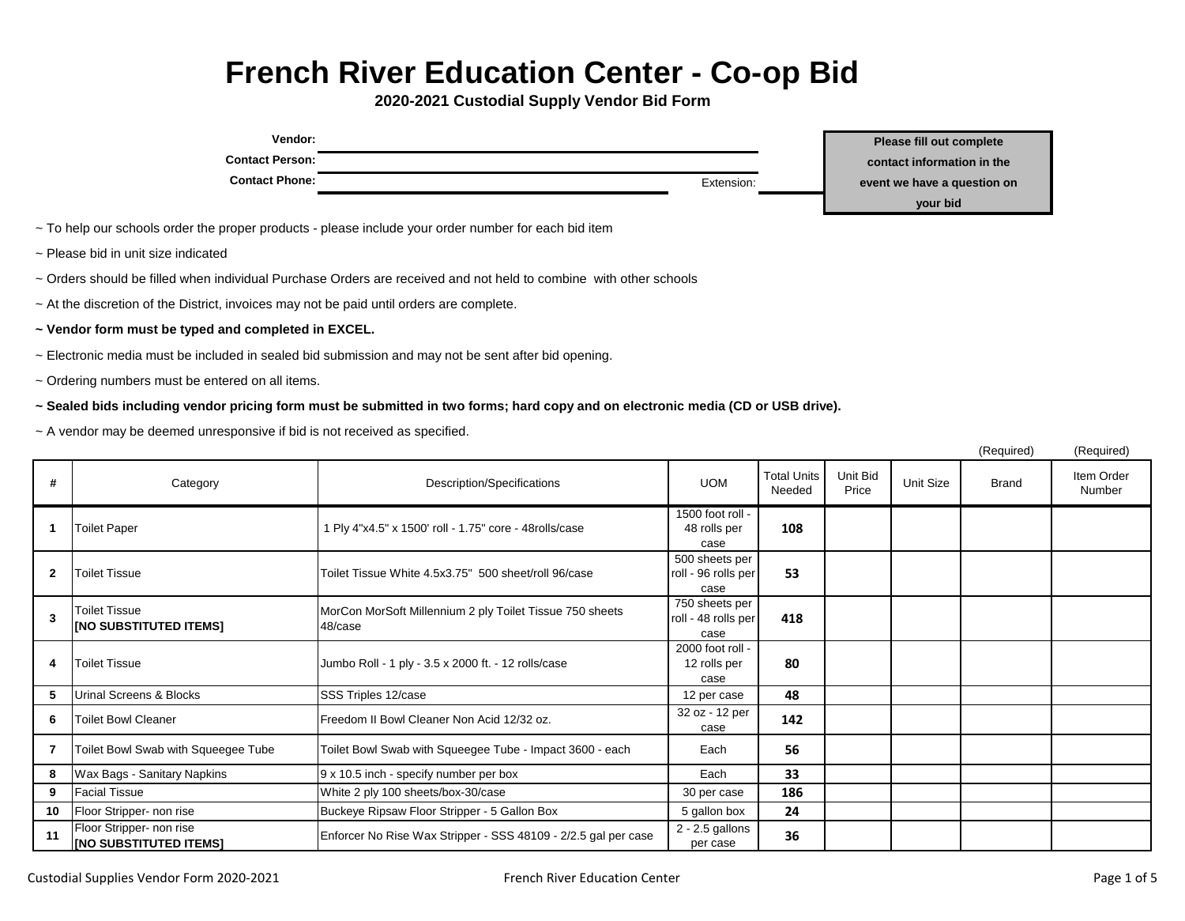## **French River Education Center - Co-op Bid**

**2020-2021 Custodial Supply Vendor Bid Form**

| Vendor:                                                                                                           |            | <b>Please fill out complete</b> |
|-------------------------------------------------------------------------------------------------------------------|------------|---------------------------------|
| <b>Contact Person:</b>                                                                                            |            | contact information in the      |
| <b>Contact Phone:</b>                                                                                             | Extension: | event we have a question on     |
|                                                                                                                   |            | your bid                        |
| ~ To help our schools order the proper products - please include your order number for each bid item              |            |                                 |
| ~ Please bid in unit size indicated                                                                               |            |                                 |
| ~ Orders should be filled when individual Purchase Orders are received and not held to combine with other schools |            |                                 |

- ~ At the discretion of the District, invoices may not be paid until orders are complete.
- **~ Vendor form must be typed and completed in EXCEL.**
- ~ Electronic media must be included in sealed bid submission and may not be sent after bid opening.
- ~ Ordering numbers must be entered on all items.
- **~ Sealed bids including vendor pricing form must be submitted in two forms; hard copy and on electronic media (CD or USB drive).**
- ~ A vendor may be deemed unresponsive if bid is not received as specified.

|                |                                                           |                                                                     |                                               |                       |                   |           | (Required)   | (Required)           |
|----------------|-----------------------------------------------------------|---------------------------------------------------------------------|-----------------------------------------------|-----------------------|-------------------|-----------|--------------|----------------------|
| #              | Category                                                  | Description/Specifications                                          | <b>UOM</b>                                    | Total Units<br>Needed | Unit Bid<br>Price | Unit Size | <b>Brand</b> | Item Order<br>Number |
|                | <b>Toilet Paper</b>                                       | 1 Ply 4"x4.5" x 1500' roll - 1.75" core - 48rolls/case              | 1500 foot roll -<br>48 rolls per<br>case      | 108                   |                   |           |              |                      |
| $\overline{2}$ | <b>Toilet Tissue</b>                                      | Toilet Tissue White 4.5x3.75" 500 sheet/roll 96/case                | 500 sheets per<br>roll - 96 rolls per<br>case | 53                    |                   |           |              |                      |
| 3              | <b>Toilet Tissue</b><br>[NO SUBSTITUTED ITEMS]            | MorCon MorSoft Millennium 2 ply Toilet Tissue 750 sheets<br>48/case | 750 sheets per<br>roll - 48 rolls per<br>case | 418                   |                   |           |              |                      |
| 4              | <b>Toilet Tissue</b>                                      | Jumbo Roll - 1 ply - 3.5 x 2000 ft. - 12 rolls/case                 | 2000 foot roll -<br>12 rolls per<br>case      | 80                    |                   |           |              |                      |
| 5              | Urinal Screens & Blocks                                   | SSS Triples 12/case                                                 | 12 per case                                   | 48                    |                   |           |              |                      |
| 6              | <b>Toilet Bowl Cleaner</b>                                | Freedom II Bowl Cleaner Non Acid 12/32 oz.                          | 32 oz - 12 per<br>case                        | 142                   |                   |           |              |                      |
| 7              | Toilet Bowl Swab with Squeegee Tube                       | Toilet Bowl Swab with Squeegee Tube - Impact 3600 - each            | Each                                          | 56                    |                   |           |              |                      |
| 8              | Wax Bags - Sanitary Napkins                               | 9 x 10.5 inch - specify number per box                              | Each                                          | 33                    |                   |           |              |                      |
| 9              | <b>Facial Tissue</b>                                      | White 2 ply 100 sheets/box-30/case                                  | 30 per case                                   | 186                   |                   |           |              |                      |
| 10             | Floor Stripper- non rise                                  | Buckeye Ripsaw Floor Stripper - 5 Gallon Box                        | 5 gallon box                                  | 24                    |                   |           |              |                      |
| 11             | Floor Stripper- non rise<br><b>INO SUBSTITUTED ITEMS!</b> | Enforcer No Rise Wax Stripper - SSS 48109 - 2/2.5 gal per case      | 2 - 2.5 gallons<br>per case                   | 36                    |                   |           |              |                      |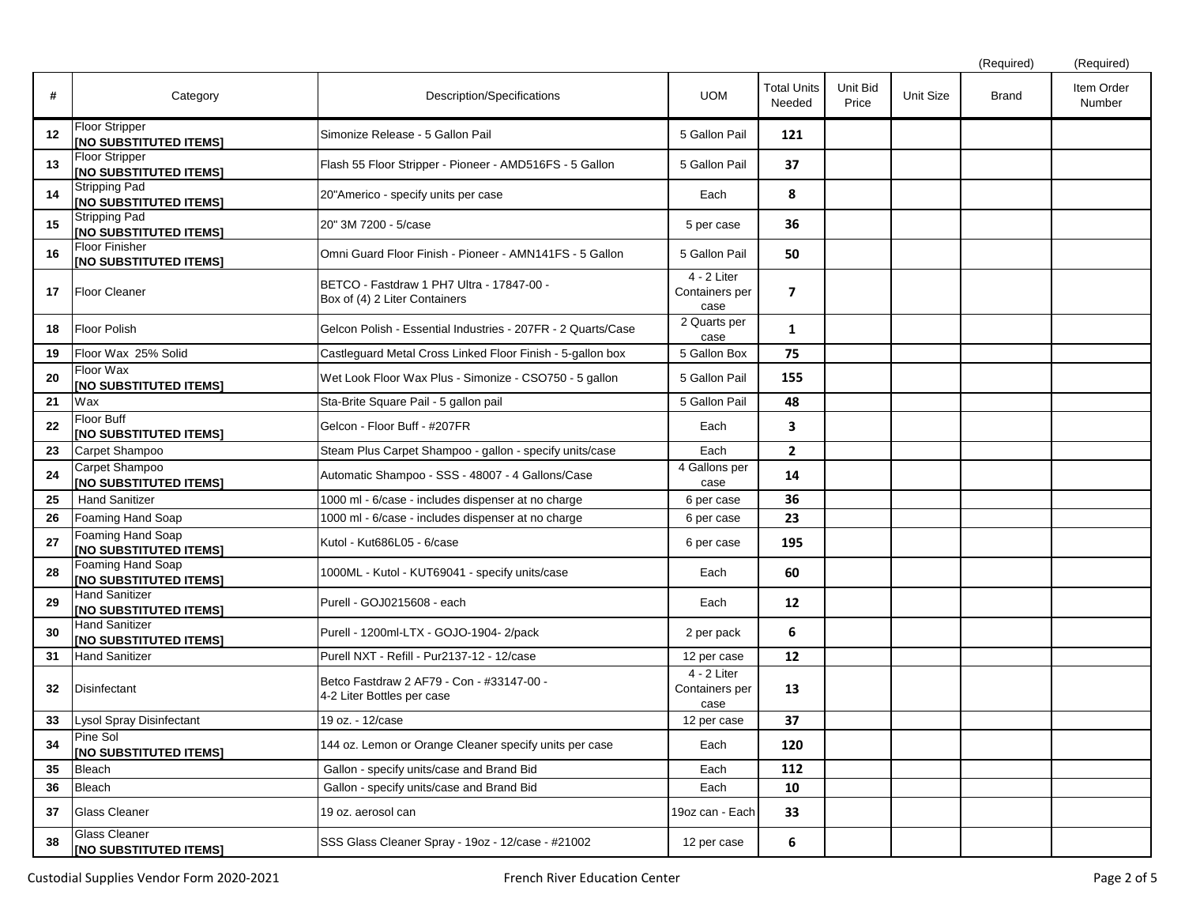|    |                                                         |                                                                            |                                                    |                              |                   |           | (Required)   | (Required)           |
|----|---------------------------------------------------------|----------------------------------------------------------------------------|----------------------------------------------------|------------------------------|-------------------|-----------|--------------|----------------------|
| #  | Category                                                | Description/Specifications                                                 | <b>UOM</b>                                         | <b>Total Units</b><br>Needed | Unit Bid<br>Price | Unit Size | <b>Brand</b> | Item Order<br>Number |
| 12 | <b>Floor Stripper</b><br>[NO SUBSTITUTED ITEMS]         | Simonize Release - 5 Gallon Pail                                           | 5 Gallon Pail                                      | 121                          |                   |           |              |                      |
| 13 | <b>Floor Stripper</b><br>[NO SUBSTITUTED ITEMS]         | Flash 55 Floor Stripper - Pioneer - AMD516FS - 5 Gallon                    | 5 Gallon Pail                                      | 37                           |                   |           |              |                      |
| 14 | <b>Stripping Pad</b><br><b>INO SUBSTITUTED ITEMS!</b>   | 20"Americo - specify units per case                                        | Each                                               | 8                            |                   |           |              |                      |
| 15 | <b>Stripping Pad</b><br>[NO SUBSTITUTED ITEMS]          | 20" 3M 7200 - 5/case                                                       | 5 per case                                         | 36                           |                   |           |              |                      |
| 16 | <b>Floor Finisher</b><br>[NO SUBSTITUTED ITEMS]         | Omni Guard Floor Finish - Pioneer - AMN141FS - 5 Gallon                    | 5 Gallon Pail                                      | 50                           |                   |           |              |                      |
| 17 | <b>Floor Cleaner</b>                                    | BETCO - Fastdraw 1 PH7 Ultra - 17847-00 -<br>Box of (4) 2 Liter Containers | $\overline{4}$ - 2 Liter<br>Containers per<br>case | $\overline{\mathbf{z}}$      |                   |           |              |                      |
| 18 | Floor Polish                                            | Gelcon Polish - Essential Industries - 207FR - 2 Quarts/Case               | 2 Quarts per<br>case                               | 1                            |                   |           |              |                      |
| 19 | Floor Wax 25% Solid                                     | Castleguard Metal Cross Linked Floor Finish - 5-gallon box                 | 5 Gallon Box                                       | 75                           |                   |           |              |                      |
| 20 | Floor Wax<br><b>[INO SUBSTITUTED ITEMS]</b>             | Wet Look Floor Wax Plus - Simonize - CSO750 - 5 gallon                     | 5 Gallon Pail                                      | 155                          |                   |           |              |                      |
| 21 | Wax                                                     | Sta-Brite Square Pail - 5 gallon pail                                      | 5 Gallon Pail                                      | 48                           |                   |           |              |                      |
| 22 | Floor Buff<br><b>[NO SUBSTITUTED ITEMS]</b>             | Gelcon - Floor Buff - #207FR                                               | Each                                               | $\overline{\mathbf{3}}$      |                   |           |              |                      |
| 23 | Carpet Shampoo                                          | Steam Plus Carpet Shampoo - gallon - specify units/case                    | Each                                               | $\overline{2}$               |                   |           |              |                      |
| 24 | Carpet Shampoo<br>[NO SUBSTITUTED ITEMS]                | Automatic Shampoo - SSS - 48007 - 4 Gallons/Case                           | 4 Gallons per<br>case                              | 14                           |                   |           |              |                      |
| 25 | <b>Hand Sanitizer</b>                                   | 1000 ml - 6/case - includes dispenser at no charge                         | 6 per case                                         | 36                           |                   |           |              |                      |
| 26 | Foaming Hand Soap                                       | 1000 ml - 6/case - includes dispenser at no charge                         | 6 per case                                         | 23                           |                   |           |              |                      |
| 27 | Foaming Hand Soap<br><b>[NO SUBSTITUTED ITEMS]</b>      | Kutol - Kut686L05 - 6/case                                                 | 6 per case                                         | 195                          |                   |           |              |                      |
| 28 | Foaming Hand Soap<br>[NO SUBSTITUTED ITEMS]             | 1000ML - Kutol - KUT69041 - specify units/case                             | Each                                               | 60                           |                   |           |              |                      |
| 29 | <b>Hand Sanitizer</b><br><b>INO SUBSTITUTED ITEMS]</b>  | Purell - GOJ0215608 - each                                                 | Each                                               | 12                           |                   |           |              |                      |
| 30 | <b>Hand Sanitizer</b><br><b>[INO SUBSTITUTED ITEMS]</b> | Purell - 1200ml-LTX - GOJO-1904- 2/pack                                    | 2 per pack                                         | 6                            |                   |           |              |                      |
| 31 | <b>Hand Sanitizer</b>                                   | Purell NXT - Refill - Pur2137-12 - 12/case                                 | 12 per case                                        | 12                           |                   |           |              |                      |
| 32 | Disinfectant                                            | Betco Fastdraw 2 AF79 - Con - #33147-00 -<br>4-2 Liter Bottles per case    | $4 - 2$ Liter<br>Containers per<br>case            | 13                           |                   |           |              |                      |
| 33 | Lysol Spray Disinfectant                                | 19 oz. - 12/case                                                           | 12 per case                                        | 37                           |                   |           |              |                      |
| 34 | Pine Sol<br>[NO SUBSTITUTED ITEMS]                      | 144 oz. Lemon or Orange Cleaner specify units per case                     | Each                                               | 120                          |                   |           |              |                      |
| 35 | Bleach                                                  | Gallon - specify units/case and Brand Bid                                  | Each                                               | 112                          |                   |           |              |                      |
| 36 | Bleach                                                  | Gallon - specify units/case and Brand Bid                                  | Each                                               | 10                           |                   |           |              |                      |
| 37 | <b>Glass Cleaner</b>                                    | 19 oz. aerosol can                                                         | 19oz can - Each                                    | 33                           |                   |           |              |                      |
| 38 | <b>Glass Cleaner</b><br>[NO SUBSTITUTED ITEMS]          | SSS Glass Cleaner Spray - 19oz - 12/case - #21002                          | 12 per case                                        | 6                            |                   |           |              |                      |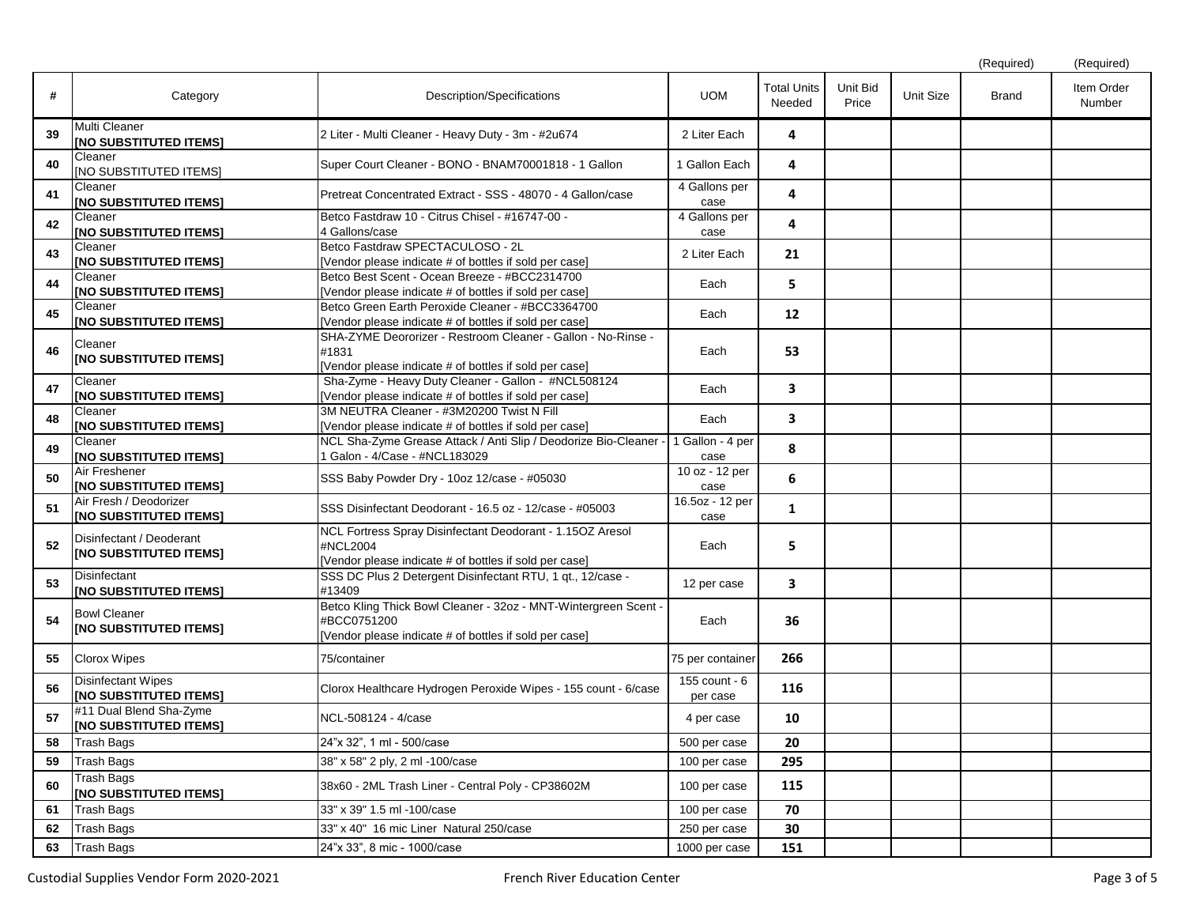|    |                                                           |                                                                                                                                          |                           |                              |                   |           | (Required)   | (Required)           |
|----|-----------------------------------------------------------|------------------------------------------------------------------------------------------------------------------------------------------|---------------------------|------------------------------|-------------------|-----------|--------------|----------------------|
| #  | Category                                                  | Description/Specifications                                                                                                               | <b>UOM</b>                | <b>Total Units</b><br>Needed | Unit Bid<br>Price | Unit Size | <b>Brand</b> | Item Order<br>Number |
| 39 | Multi Cleaner<br>[NO SUBSTITUTED ITEMS]                   | 2 Liter - Multi Cleaner - Heavy Duty - 3m - #2u674                                                                                       | 2 Liter Each              | 4                            |                   |           |              |                      |
| 40 | Cleaner<br>[NO SUBSTITUTED ITEMS]                         | Super Court Cleaner - BONO - BNAM70001818 - 1 Gallon                                                                                     | 1 Gallon Each             | 4                            |                   |           |              |                      |
| 41 | Cleaner<br>[NO SUBSTITUTED ITEMS]                         | Pretreat Concentrated Extract - SSS - 48070 - 4 Gallon/case                                                                              | 4 Gallons per<br>case     | 4                            |                   |           |              |                      |
| 42 | Cleaner<br><b>NO SUBSTITUTED ITEMS]</b>                   | Betco Fastdraw 10 - Citrus Chisel - #16747-00 -<br>4 Gallons/case                                                                        | 4 Gallons per<br>case     | 4                            |                   |           |              |                      |
| 43 | Cleaner<br>[NO SUBSTITUTED ITEMS]                         | Betco Fastdraw SPECTACULOSO - 2L<br>[Vendor please indicate # of bottles if sold per case]                                               | 2 Liter Each              | 21                           |                   |           |              |                      |
| 44 | Cleaner<br><b>[NO SUBSTITUTED ITEMS]</b>                  | Betco Best Scent - Ocean Breeze - #BCC2314700<br>[Vendor please indicate # of bottles if sold per case]                                  | Each                      | 5                            |                   |           |              |                      |
| 45 | Cleaner<br><b>INO SUBSTITUTED ITEMS!</b>                  | Betco Green Earth Peroxide Cleaner - #BCC3364700<br>[Vendor please indicate # of bottles if sold per case]                               | Each                      | 12                           |                   |           |              |                      |
| 46 | Cleaner<br>[NO SUBSTITUTED ITEMS]                         | SHA-ZYME Deororizer - Restroom Cleaner - Gallon - No-Rinse -<br>#1831<br>[Vendor please indicate # of bottles if sold per case]          | Each                      | 53                           |                   |           |              |                      |
| 47 | Cleaner<br>[NO SUBSTITUTED ITEMS]                         | Sha-Zyme - Heavy Duty Cleaner - Gallon - #NCL508124<br>[Vendor please indicate # of bottles if sold per case]                            | Each                      | $\overline{\mathbf{3}}$      |                   |           |              |                      |
| 48 | Cleaner<br>[NO SUBSTITUTED ITEMS]                         | 3M NEUTRA Cleaner - #3M20200 Twist N Fill<br>[Vendor please indicate # of bottles if sold per case]                                      | Each                      | $\overline{\mathbf{3}}$      |                   |           |              |                      |
| 49 | Cleaner<br>[NO SUBSTITUTED ITEMS]                         | NCL Sha-Zyme Grease Attack / Anti Slip / Deodorize Bio-Cleaner<br>Galon - 4/Case - #NCL183029                                            | 1 Gallon - 4 per<br>case  | 8                            |                   |           |              |                      |
| 50 | Air Freshener<br>[NO SUBSTITUTED ITEMS]                   | SSS Baby Powder Dry - 10oz 12/case - #05030                                                                                              | 10 oz - 12 per<br>case    | 6                            |                   |           |              |                      |
| 51 | Air Fresh / Deodorizer<br><b>[NO SUBSTITUTED ITEMS]</b>   | SSS Disinfectant Deodorant - 16.5 oz - 12/case - #05003                                                                                  | 16.5oz - 12 per<br>case   | $\mathbf{1}$                 |                   |           |              |                      |
| 52 | Disinfectant / Deoderant<br><b>INO SUBSTITUTED ITEMS!</b> | NCL Fortress Spray Disinfectant Deodorant - 1.15OZ Aresol<br>#NCL2004<br>[Vendor please indicate # of bottles if sold per case]          | Each                      | 5                            |                   |           |              |                      |
| 53 | Disinfectant<br>[NO SUBSTITUTED ITEMS]                    | SSS DC Plus 2 Detergent Disinfectant RTU, 1 qt., 12/case -<br>#13409                                                                     | 12 per case               | $\overline{\mathbf{3}}$      |                   |           |              |                      |
| 54 | <b>Bowl Cleaner</b><br>[NO SUBSTITUTED ITEMS]             | Betco Kling Thick Bowl Cleaner - 32oz - MNT-Wintergreen Scent -<br>#BCC0751200<br>[Vendor please indicate # of bottles if sold per case] | Each                      | 36                           |                   |           |              |                      |
| 55 | <b>Clorox Wipes</b>                                       | 75/container                                                                                                                             | 75 per container          | 266                          |                   |           |              |                      |
| 56 | <b>Disinfectant Wipes</b><br>[NO SUBSTITUTED ITEMS]       | Clorox Healthcare Hydrogen Peroxide Wipes - 155 count - 6/case                                                                           | 155 count - 6<br>per case | 116                          |                   |           |              |                      |
| 57 | #11 Dual Blend Sha-Zyme<br>[NO SUBSTITUTED ITEMS]         | NCL-508124 - 4/case                                                                                                                      | 4 per case                | 10                           |                   |           |              |                      |
| 58 | <b>Trash Bags</b>                                         | 24"x 32", 1 ml - 500/case                                                                                                                | 500 per case              | 20                           |                   |           |              |                      |
| 59 | <b>Trash Bags</b>                                         | 38" x 58" 2 ply, 2 ml -100/case                                                                                                          | 100 per case              | 295                          |                   |           |              |                      |
| 60 | Trash Bags<br>[NO SUBSTITUTED ITEMS]                      | 38x60 - 2ML Trash Liner - Central Poly - CP38602M                                                                                        | 100 per case              | 115                          |                   |           |              |                      |
| 61 | Trash Bags                                                | 33" x 39" 1.5 ml -100/case                                                                                                               | 100 per case              | 70                           |                   |           |              |                      |
| 62 | <b>Trash Bags</b>                                         | 33" x 40" 16 mic Liner Natural 250/case                                                                                                  | 250 per case              | 30                           |                   |           |              |                      |
| 63 | <b>Trash Bags</b>                                         | 24"x 33", 8 mic - 1000/case                                                                                                              | 1000 per case             | 151                          |                   |           |              |                      |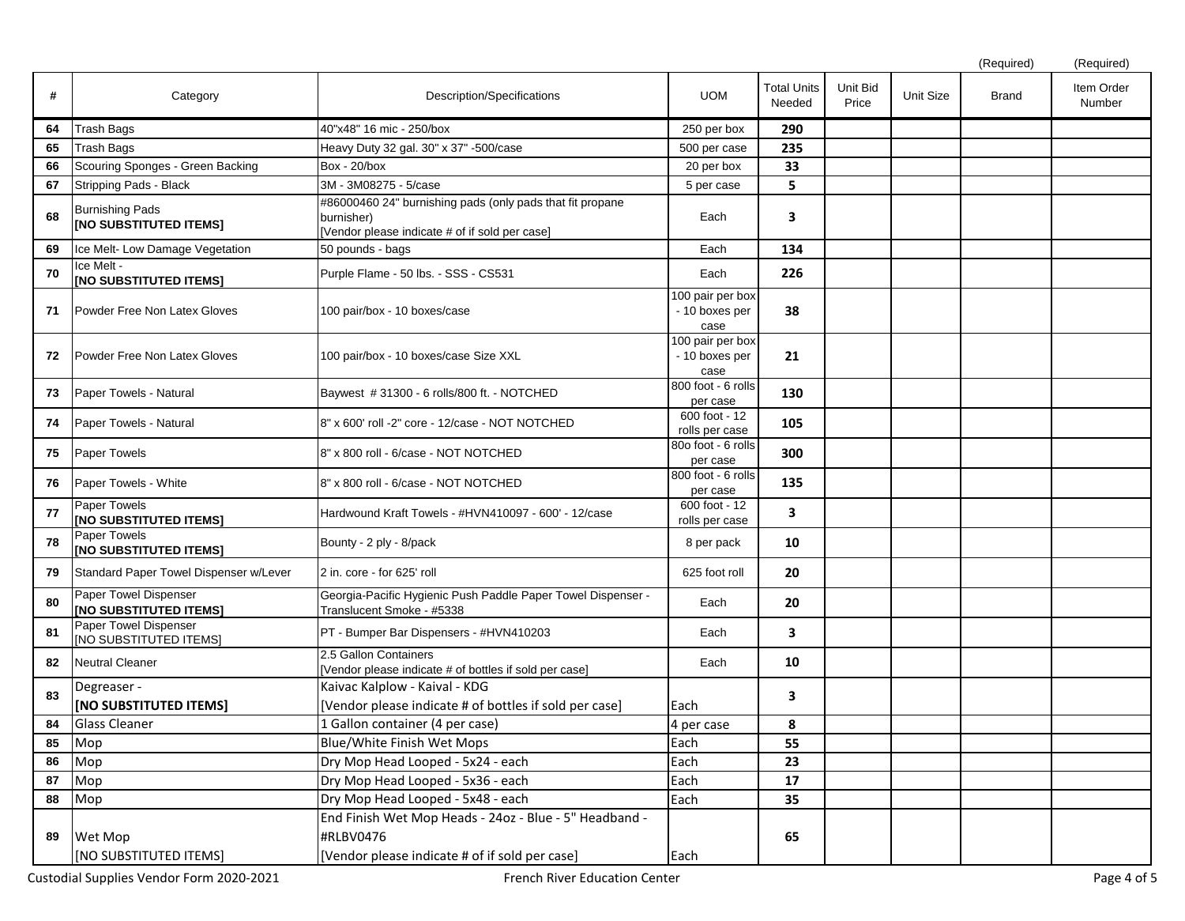|    |                                                         |                                                                                                                           |                                            |                              |                   |                  | (Required)   | (Required)           |
|----|---------------------------------------------------------|---------------------------------------------------------------------------------------------------------------------------|--------------------------------------------|------------------------------|-------------------|------------------|--------------|----------------------|
| #  | Category                                                | Description/Specifications                                                                                                | <b>UOM</b>                                 | <b>Total Units</b><br>Needed | Unit Bid<br>Price | <b>Unit Size</b> | <b>Brand</b> | Item Order<br>Number |
| 64 | Trash Bags                                              | 40"x48" 16 mic - 250/box                                                                                                  | 250 per box                                | 290                          |                   |                  |              |                      |
| 65 | Trash Bags                                              | Heavy Duty 32 gal. 30" x 37" -500/case                                                                                    | 500 per case                               | 235                          |                   |                  |              |                      |
| 66 | Scouring Sponges - Green Backing                        | <b>Box - 20/box</b>                                                                                                       | 20 per box                                 | 33                           |                   |                  |              |                      |
| 67 | Stripping Pads - Black                                  | 3M - 3M08275 - 5/case                                                                                                     | 5 per case                                 | 5                            |                   |                  |              |                      |
| 68 | <b>Burnishing Pads</b><br><b>INO SUBSTITUTED ITEMS]</b> | #86000460 24" burnishing pads (only pads that fit propane<br>burnisher)<br>[Vendor please indicate # of if sold per case] | Each                                       | 3                            |                   |                  |              |                      |
| 69 | Ice Melt- Low Damage Vegetation                         | 50 pounds - bags                                                                                                          | Each                                       | 134                          |                   |                  |              |                      |
| 70 | Ice Melt -<br>[NO SUBSTITUTED ITEMS]                    | Purple Flame - 50 lbs. - SSS - CS531                                                                                      | Each                                       | 226                          |                   |                  |              |                      |
| 71 | <b>IPowder Free Non Latex Gloves</b>                    | 100 pair/box - 10 boxes/case                                                                                              | 100 pair per box<br>- 10 boxes per<br>case | 38                           |                   |                  |              |                      |
| 72 | Powder Free Non Latex Gloves                            | 100 pair/box - 10 boxes/case Size XXL                                                                                     | 100 pair per box<br>- 10 boxes per<br>case | 21                           |                   |                  |              |                      |
| 73 | Paper Towels - Natural                                  | Baywest #31300 - 6 rolls/800 ft. - NOTCHED                                                                                | 800 foot - 6 rolls<br>per case             | 130                          |                   |                  |              |                      |
| 74 | Paper Towels - Natural                                  | 8" x 600' roll -2" core - 12/case - NOT NOTCHED                                                                           | 600 foot - 12<br>rolls per case            | 105                          |                   |                  |              |                      |
| 75 | Paper Towels                                            | 8" x 800 roll - 6/case - NOT NOTCHED                                                                                      | 80o foot - 6 rolls<br>per case             | 300                          |                   |                  |              |                      |
| 76 | Paper Towels - White                                    | 8" x 800 roll - 6/case - NOT NOTCHED                                                                                      | 800 foot - 6 rolls<br>per case             | 135                          |                   |                  |              |                      |
| 77 | Paper Towels<br>[NO SUBSTITUTED ITEMS]                  | Hardwound Kraft Towels - #HVN410097 - 600' - 12/case                                                                      | 600 foot - 12<br>rolls per case            | 3                            |                   |                  |              |                      |
| 78 | Paper Towels<br>[NO SUBSTITUTED ITEMS]                  | Bounty - 2 ply - 8/pack                                                                                                   | 8 per pack                                 | 10                           |                   |                  |              |                      |
| 79 | Standard Paper Towel Dispenser w/Lever                  | 2 in. core - for 625' roll                                                                                                | 625 foot roll                              | 20                           |                   |                  |              |                      |
| 80 | Paper Towel Dispenser<br><b>INO SUBSTITUTED ITEMS!</b>  | Georgia-Pacific Hygienic Push Paddle Paper Towel Dispenser -<br>Translucent Smoke - #5338                                 | Each                                       | 20                           |                   |                  |              |                      |
| 81 | Paper Towel Dispenser<br>[NO SUBSTITUTED ITEMS]         | PT - Bumper Bar Dispensers - #HVN410203                                                                                   | Each                                       | 3                            |                   |                  |              |                      |
| 82 | Neutral Cleaner                                         | 2.5 Gallon Containers<br>[Vendor please indicate # of bottles if sold per case]                                           | Each                                       | 10                           |                   |                  |              |                      |
| 83 | Degreaser -                                             | Kaivac Kalplow - Kaival - KDG                                                                                             |                                            | 3                            |                   |                  |              |                      |
|    | [NO SUBSTITUTED ITEMS]                                  | [Vendor please indicate # of bottles if sold per case]                                                                    | Each                                       |                              |                   |                  |              |                      |
| 84 | Glass Cleaner                                           | 1 Gallon container (4 per case)                                                                                           | 4 per case                                 | 8                            |                   |                  |              |                      |
| 85 | Mop                                                     | <b>Blue/White Finish Wet Mops</b>                                                                                         | Each                                       | 55                           |                   |                  |              |                      |
| 86 | Mop                                                     | Dry Mop Head Looped - 5x24 - each                                                                                         | Each                                       | 23                           |                   |                  |              |                      |
| 87 | Mop                                                     | Dry Mop Head Looped - 5x36 - each                                                                                         | Each                                       | 17                           |                   |                  |              |                      |
| 88 | Mop                                                     | Dry Mop Head Looped - 5x48 - each                                                                                         | Each                                       | 35                           |                   |                  |              |                      |
| 89 | Wet Mop<br>[NO SUBSTITUTED ITEMS]                       | End Finish Wet Mop Heads - 24oz - Blue - 5" Headband -<br>#RLBV0476<br>[Vendor please indicate # of if sold per case]     | Each                                       | 65                           |                   |                  |              |                      |
|    |                                                         |                                                                                                                           |                                            |                              |                   |                  |              |                      |